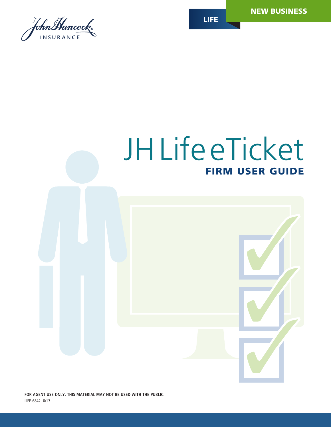

# JHLifeeTicket FIRM USER GUIDE

**FOR AGENT USE ONLY. THIS MATERIAL MAY NOT BE USED WITH THE PUBLIC.**

LIFE-6842 6/17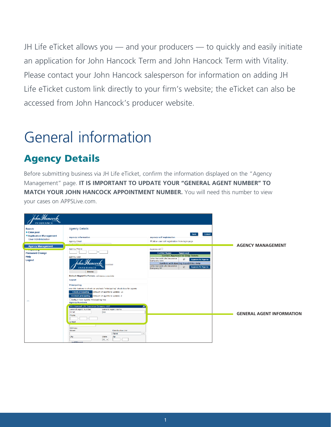JH Life eTicket allows you — and your producers — to quickly and easily initiate an application for John Hancock Term and John Hancock Term with Vitality. Please contact your John Hancock salesperson for information on adding JH Life eTicket custom link directly to your firm's website; the eTicket can also be accessed from John Hancock's producer website.

## General information

### Agency Details

Before submitting business via JH Life eTicket, confirm the information displayed on the "Agency Management" page. **IT IS IMPORTANT TO UPDATE YOUR "GENERAL AGENT NUMBER" TO MATCH YOUR JOHN HANCOCK APPOINTMENT NUMBER.** You will need this number to view your cases on APPSLive.com.

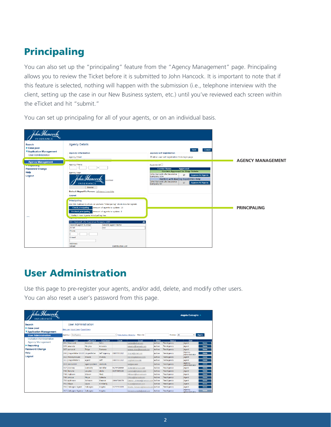### Principaling

You can also set up the "principaling" feature from the "Agency Management" page. Principaling allows you to review the Ticket before it is submitted to John Hancock. It is important to note that if this feature is selected, nothing will happen with the submission (i.e., telephone interview with the client, setting up the case in our New Business system, etc.) until you've reviewed each screen within the eTicket and hit "submit."

You can set up principaling for all of your agents, or on an individual basis.



### User Administration

Use this page to pre-register your agents, and/or add, delete, and modify other users. You can also reset a user's password from this page.

| lohnMancock.<br><b>INSURANCE</b>                                                     |                                                                                        |                  |                   |            |                                 |               |                   | Angela Calcagno         |               |
|--------------------------------------------------------------------------------------|----------------------------------------------------------------------------------------|------------------|-------------------|------------|---------------------------------|---------------|-------------------|-------------------------|---------------|
| <b>Search</b><br>Case pool<br>▼ Application Management<br><b>User Administration</b> | <b>User Administration</b><br>New user Import Users Export Users<br>Agency: TestAgency |                  |                   |            | Mew Agency Hierarchy<br>Search: |               | Status: All       | . .                     | Apply         |
|                                                                                      |                                                                                        |                  |                   |            |                                 |               |                   |                         |               |
| <b>Invitation Administration</b>                                                     | $\mathbf{D}$<br>Login                                                                  | <b>Last Name</b> | <b>First Name</b> | Phone      | E-mail                          | <b>Status</b> | Agency            | Role                    |               |
| <b>Agency Management</b>                                                             | 261 JHancock                                                                           | Hancock          | <b>John</b>       |            | hunteal@mfcod.com               | Active        | TestAgency        | Agent                   | Delete        |
| Reporting                                                                            | 269 amanda                                                                             | Murphy           | Amanda            |            | amurphy@ihancock.com            | Active        | <b>TestAgency</b> | Agent                   | <b>Delete</b> |
| <b>Password Change</b>                                                               | 287 samarat                                                                            | Tripp            | Samara            |            | samara tripp@ihancock.com       | Active        | <b>TestAgency</b> | Agent                   | <b>Delete</b> |
| Help                                                                                 | 290 ilingenfelter 16133 Lingenfelter                                                   |                  | Jeff-Agency       | 8885551212 | Iling.ne@gmail.com              | Active        | TestAgency        | Agency<br>Administrator | <b>Delete</b> |
| Logout                                                                               | 302 mickeymouse                                                                        | mouse            | mickey            |            | cmilesh@jhancock.com            | Active        | TestAgency        | Agent                   | <b>Delete</b> |
|                                                                                      | 311 ilinoenfelter1                                                                     | Agent            | Jeff              | 8885551212 | JL@Ihancock.com                 | Active        | TestAgency        | Agent                   | Delete        |
|                                                                                      | 314 cmilosh14                                                                          | agencyadmin      | cmilosh           |            | test@aol.com                    | Active        | <b>TestAgency</b> | Agency<br>Administrator | <b>Delete</b> |
|                                                                                      | 717 Itiernev                                                                           | Connelly         | <b>Jennifer</b>   | 6175728669 | itiamev@ihancock.com            | Active        | <b>TestAgency</b> | Agent                   | <b>Delete</b> |
|                                                                                      | 746 llevyne                                                                            | Levyne           | Linda             | 8157905134 | LLewno@ihancock.com             | Active        | TestAgency        | Agent                   | Delete        |
|                                                                                      | 748 mgibson                                                                            | Gibson           | Matt              |            | MGibson@jhancock.com            | Active        | TestAgency        | Agent                   | Delete        |
|                                                                                      | 749 cmoya                                                                              | Mova             | Celeste           |            | CMova@ihancock.com              | Active        | TestAgency        | Agent                   | Delete        |
|                                                                                      | 750 ejohnson                                                                           | Johnson          | Eleanor           | 2069729070 | Eleanor Johnson@ihancock.com    | Active        | TestAgency        | Agent                   | <b>Delete</b> |
|                                                                                      | 751 klipps                                                                             | Lipps            | Kimberly          |            | KLipps@jhancock.com             | Active        | TestAgency        | Agent                   | <b>Delete</b> |
|                                                                                      | 766 Calcagno-Agent                                                                     | Calcagno         | Angela            | 6175721815 | Angela Calcagno@lhancock.com    | Active        | TestAgency        | Agent                   | Delete        |
|                                                                                      | 767 Calcagno-Agency                                                                    | Calcagno         | Angela            |            | Calcagno.angela@gmail.com       | Active        | TestAgency        | Agency<br>Administrator | Delete        |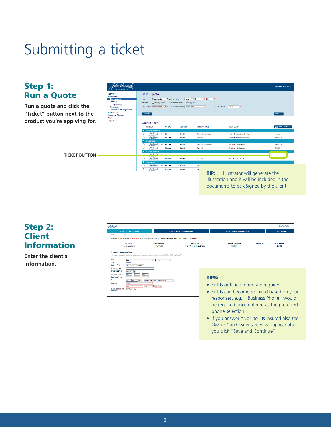## Submitting a ticket



#### Step 2: **Client** Information

**Enter the client's information.**

| STEP 1 > Insurad Information > Beneficiary Information<br>PLEASE COMPLETE THE HIGHLIGHTED INFORMATION AND SELECT SAVE AND CONTINUE TO MOVE TO THE NEXT SECTION. | <b>STEP 2 POLICY INFORMATION</b> | <b>STEP 3 AGENT INFORMATION</b>                                                                            |                 | STEP 4 SUBMIT                                                                        |
|-----------------------------------------------------------------------------------------------------------------------------------------------------------------|----------------------------------|------------------------------------------------------------------------------------------------------------|-----------------|--------------------------------------------------------------------------------------|
|                                                                                                                                                                 |                                  |                                                                                                            |                 |                                                                                      |
| <b>FACE AMOUNT</b>                                                                                                                                              | <b>BATE OLARS</b>                | ANNUAL PREMIUM                                                                                             | <b>FATING %</b> | <b>FLAT EXTRA</b>                                                                    |
| \$1,000,000                                                                                                                                                     | Super Preferred NonSmoker        | \$276.00                                                                                                   | $\sim$          | \$0/1000                                                                             |
|                                                                                                                                                                 |                                  |                                                                                                            |                 |                                                                                      |
|                                                                                                                                                                 |                                  |                                                                                                            |                 |                                                                                      |
| AM v Eastern Standard Time(UTC -5)<br>$\overline{\phantom{0}}$                                                                                                  |                                  |                                                                                                            |                 |                                                                                      |
| $\triangleright$ $\square$ p Codo                                                                                                                               |                                  |                                                                                                            |                 |                                                                                      |
|                                                                                                                                                                 |                                  |                                                                                                            |                 |                                                                                      |
|                                                                                                                                                                 | M<br>Brown                       | To ensure a positive customer experience. Advisors are asked to complete all of the fleids in this ticket. | <b>TIPS:</b>    | • Fields outlined in red are required.<br>• Fields can become required based on your |

- Fields can become required based on your be required once entered as the preferred phone selection.
- If you answer "No" to "Is insured also the Owner," an Owner screen will appear after you click "Save and Continue".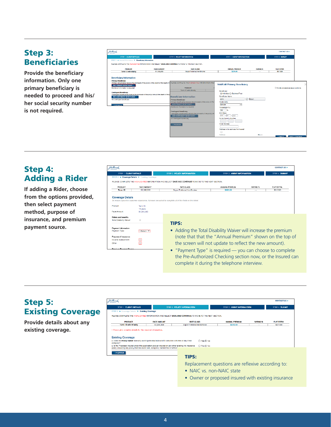#### Step 3: **Beneficiaries**

**Provide the beneficiary information. Only one primary beneficiary is needed to proceed and his/ her social security number is not required.**

| 24 March<br><b>INSERANCE</b>                                                                                          |                                   |                                                                                                                                         |                                     |                           | CONTACT US >                           |  |
|-----------------------------------------------------------------------------------------------------------------------|-----------------------------------|-----------------------------------------------------------------------------------------------------------------------------------------|-------------------------------------|---------------------------|----------------------------------------|--|
| <b>STEP 1 CLIENT DETAILS</b>                                                                                          |                                   | <b>STEP 2 POLICY INFORMATION</b>                                                                                                        | <b>STEP 3 AGENT INFORMATION</b>     |                           | STEP 4 SUBMIT                          |  |
| STEP 1 > Insured Information > Bonoficiary Information                                                                |                                   |                                                                                                                                         |                                     |                           |                                        |  |
| PLEASE COMPLETE THE HIGHLIGHTED INFORMATION AND SELECT SAVE AND CONTINUE TO MOVE TO THE NEXT SECTION.                 |                                   |                                                                                                                                         |                                     |                           |                                        |  |
|                                                                                                                       |                                   |                                                                                                                                         |                                     |                           |                                        |  |
| <b>PRODUCT</b>                                                                                                        | <b>FADE AMOUNT</b><br>\$1,000,000 | <b>BATE OLARS</b><br>Super Preferred NonSmoker                                                                                          | ANNUAL PER-MILIM<br>\$276.00        | <b>BATING %</b><br>$\sim$ | <b>FLAT EXTRA</b><br>\$0/1000          |  |
| Term 10 with Vitality                                                                                                 |                                   |                                                                                                                                         |                                     |                           |                                        |  |
| <b>Beneficiary Information</b>                                                                                        |                                   |                                                                                                                                         |                                     |                           |                                        |  |
| <b>Primary Bonoficiary</b>                                                                                            |                                   |                                                                                                                                         |                                     |                           |                                        |  |
|                                                                                                                       |                                   | Primary beneficiaries receive the proceeds of the policy in the event of the death of a PLEASE COMPLETE THE HIGHLIGHTED INFORMATION AND |                                     |                           |                                        |  |
| ADD PRIMARY BENEFROMRY >                                                                                              |                                   |                                                                                                                                         | <b>Add/Edit Primary Beneficiary</b> |                           |                                        |  |
| Additional information is required                                                                                    |                                   | <b>PRODUOT</b>                                                                                                                          |                                     |                           | Divide proceeds as equal portions.     |  |
|                                                                                                                       |                                   | Term 10 with Vitality                                                                                                                   | Beneficiary                         |                           |                                        |  |
| <b>Contingent Beneficiary</b>                                                                                         |                                   |                                                                                                                                         | ⊙ Individual O Business/Trust       |                           |                                        |  |
| Contingent beneficieries regains the proceeds of the policy should the death of the p<br>ADD CONTINGENT BENEFICIARY > |                                   | <b>Beneficiary Information</b>                                                                                                          | Beneficiary Name                    |                           |                                        |  |
| No contingent beneficiary                                                                                             |                                   |                                                                                                                                         | M/ Brown<br>John                    |                           |                                        |  |
|                                                                                                                       |                                   | <b>Primary Beneficiary</b><br>Primary beneficiaries receive the proceeds of the policy in the                                           | <b>Relationship</b>                 |                           |                                        |  |
|                                                                                                                       |                                   | ADD PRIMARY BENEFICIARY I                                                                                                               | M                                   |                           |                                        |  |
| <b>PREVIOUR</b>                                                                                                       |                                   | Additional information is required.                                                                                                     | 800use                              |                           |                                        |  |
|                                                                                                                       |                                   |                                                                                                                                         | Percentage (%)                      |                           |                                        |  |
|                                                                                                                       |                                   | <b>Contingent Beneficiary</b>                                                                                                           | 100<br>7%                           |                           |                                        |  |
|                                                                                                                       |                                   | Contingent beneficiaries receive the proceeds of the policy sh                                                                          | <b>Birth Date</b>                   |                           |                                        |  |
|                                                                                                                       |                                   | ADD CONTINGENT BENEFICIARY                                                                                                              | $mm$ / $dd$ / $v$ yyy               |                           |                                        |  |
|                                                                                                                       |                                   | No contingent beneficiary                                                                                                               | Social Security Number              |                           |                                        |  |
|                                                                                                                       |                                   |                                                                                                                                         |                                     |                           |                                        |  |
|                                                                                                                       |                                   | <b>PREVIOUS</b>                                                                                                                         | <b>Email Address</b>                |                           |                                        |  |
|                                                                                                                       |                                   |                                                                                                                                         |                                     |                           |                                        |  |
|                                                                                                                       |                                   |                                                                                                                                         | Address is the same as the Insured  |                           |                                        |  |
|                                                                                                                       |                                   |                                                                                                                                         | п                                   |                           |                                        |  |
|                                                                                                                       |                                   |                                                                                                                                         | Address                             | <b>Dhono</b>              |                                        |  |
|                                                                                                                       |                                   |                                                                                                                                         |                                     |                           | <b>4 CANCEL SAVE &amp; CONTINUE 1-</b> |  |

#### Step 4: Adding a Rider

**If adding a Rider, choose from the options provided, then select payment method, purpose of insurance, and premium payment source.**

| Tohn Hancock<br>NSURANCE                   |                                                                  |                                                                                                       |                                 |                      | <b>CONTACT US &gt;</b> |
|--------------------------------------------|------------------------------------------------------------------|-------------------------------------------------------------------------------------------------------|---------------------------------|----------------------|------------------------|
|                                            | <b>STEP 1 CLIENT DETAILS</b><br><b>STEP 2 POLICY INFORMATION</b> |                                                                                                       | <b>STEP 3 AGENT INFORMATION</b> | <b>STEP 4 SUBMIT</b> |                        |
|                                            | STEP 2 ▶ Coverage Details ▶ Existing Coverage                    | PLEASE COMPLETE THE HIGHLIGHTED INFORMATION AND SELECT SAVE AND CONTINUE TO MOVE TO THE NEXT SECTION. |                                 |                      |                        |
| PRODUCT                                    | <b>FACE AMOUNT</b>                                               | RATE CLASS                                                                                            | ANNUAL PREMIUM                  | <b>RATING %</b>      | <b>FLAT EXTRA</b>      |
| Term 15                                    | \$1,000,000                                                      | <b>Super Preferred NonSmoker</b>                                                                      | \$463,00                        | $\sim$               | \$0/1000               |
| <b>Face Amount</b>                         | 15 years<br>\$1,000,000                                          |                                                                                                       |                                 |                      |                        |
| Product                                    | Term 15                                                          |                                                                                                       |                                 |                      |                        |
|                                            |                                                                  |                                                                                                       |                                 |                      |                        |
| Riders and benefits                        |                                                                  |                                                                                                       |                                 |                      |                        |
| <b>Total Disability Waiver</b>             | $\Box$                                                           | <b>TIPS:</b>                                                                                          |                                 |                      |                        |
|                                            |                                                                  |                                                                                                       |                                 |                      |                        |
| Payment information<br>Payment Type:       | -Select--                                                        | • Adding the Total Disability Waiver will increase the premium                                        |                                 |                      |                        |
| Purpose of Insurance<br>Income replacement | $\Box$                                                           | (note that that the "Annual Premium" shown on the top of                                              |                                 |                      |                        |
| Other                                      | ō                                                                | the screen will not update to reflect the new amount).                                                |                                 |                      |                        |
| $\overline{a}$                             |                                                                  | • "Payment Type" is required — you can choose to complete                                             |                                 |                      |                        |
|                                            |                                                                  | the Pre-Authorized Checking section now, or the Insured can                                           |                                 |                      |                        |

complete it during the telephone interview.

#### Step 5: Existing Coverage

**Provide details about any existing coverage.**

| John Hancock<br><b>INSURANCE</b>                                                                              |                    |                                  |                             |                                 |                 | CONTACT US I-        |
|---------------------------------------------------------------------------------------------------------------|--------------------|----------------------------------|-----------------------------|---------------------------------|-----------------|----------------------|
| <b>STEP 1 CLIENT DETAILS</b>                                                                                  |                    | <b>STEP 2 POLICY INFORMATION</b> |                             | <b>STEP 3 AGENT INFORMATION</b> |                 | <b>STEP 4 SUBMIT</b> |
| STEP 2 ▶ Coverage Details ▶ Existing Coverage                                                                 |                    |                                  |                             |                                 |                 |                      |
| PLEASE COMPLETE THE HIGHLIGHTED INFORMATION AND SELECT SAVE AND CONTINUE TO MOVE TO THE NEXT SECTION.         |                    |                                  |                             |                                 |                 |                      |
| <b>PRODUCT</b>                                                                                                | <b>FACE AMOUNT</b> | <b>RATE CLASS</b>                |                             | <b>ANNUAL PREMIUM</b>           | <b>RATING %</b> | <b>FLAT EXTRA</b>    |
| <b>Term 10 with Vitality</b>                                                                                  | \$1,000,000        | Super Preferred NonSmoker        |                             | \$276.00                        | <b>STATE</b>    | \$0/1000             |
| . Please give complete details for the required information.<br><b>Existing Coverage</b>                      |                    |                                  |                             |                                 |                 |                      |
| a. Does the Policy Owner have any existing life insurance and/or annuities with this or any other<br>company? |                    |                                  | ○ Yes ⓒ No                  |                                 |                 |                      |
| a. Is the Proposed Insured under this application also an insured on any other existing life insurance        |                    |                                  | $\bigcap$ Yes $\bigcirc$ No |                                 |                 |                      |
| policy, including any policy that has been sold, assigned, transferred or settled"                            |                    |                                  |                             |                                 |                 |                      |
| <b>PREVIOUS</b>                                                                                               |                    |                                  |                             |                                 |                 |                      |
|                                                                                                               |                    | TIDC.                            |                             |                                 |                 |                      |

#### TIPS:

Replacement questions are reflexive according to:

- NAIC vs. non-NAIC state
- Owner or proposed insured with existing insurance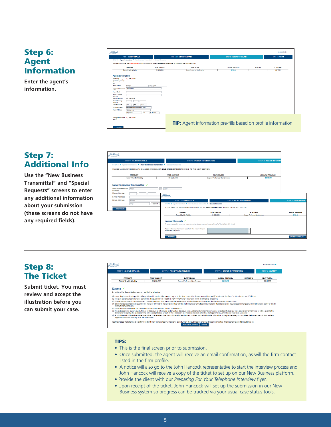| John Manach                                                                                                                                                     |         |                                                                                                                                                                                                                                                                                         |
|-----------------------------------------------------------------------------------------------------------------------------------------------------------------|---------|-----------------------------------------------------------------------------------------------------------------------------------------------------------------------------------------------------------------------------------------------------------------------------------------|
|                                                                                                                                                                 |         | <b>FACE AMOUNT</b><br>\$1,000,000                                                                                                                                                                                                                                                       |
| <b>Have you</b><br>personally met the<br><b>Proposed Insured</b><br>0.77<br><b>Arant Name</b><br><b>Ricker BealerRGA</b><br>Firm<br>Agent Code<br>Acent License |         | Mil Agent                                                                                                                                                                                                                                                                               |
|                                                                                                                                                                 | Magdhar | <b>STEP 1 CLIENT DETAILS</b><br>STEP 3 > Agent Information > New Business Transmittal > Goedial Requests<br>PLEASE COMPLETE THE HIGHLIGHTED INFORMATION AND SELECT SAME AND<br><b>PRODUCT</b><br>Term 10 with Vitality<br><b>Agent Information</b><br>○ Yes○ No<br>Bample<br>TestApency |

| <b>STEP 1 CLIENT DETAILS</b>                                                                          |                    | <b>STEP 2 POLICY INFORMATION</b>                               | STEP 3 AGENT INFORMATION |                 | STEP 4 SUBMIT     |
|-------------------------------------------------------------------------------------------------------|--------------------|----------------------------------------------------------------|--------------------------|-----------------|-------------------|
|                                                                                                       |                    |                                                                |                          |                 |                   |
| STEP 3 > Agent Information > New Business Transmittal > Special Requests                              |                    |                                                                |                          |                 |                   |
| PLEASE COMPLETE THE HIGHLIGHTED INFORMATION AND SELECT SAVE AND CONTINUE TO MOVE TO THE NEXT SECTION. |                    |                                                                |                          |                 |                   |
| <b>PRODUCT</b>                                                                                        | <b>FACE AMOUNT</b> | <b>BATE OLARS</b>                                              | ANNUAL PREMIUM           | <b>RATING M</b> | <b>FLAT EXTRA</b> |
| Term 10 with Vitality                                                                                 | \$1,000,000        | <b>Guner Preferred NonGrovinni</b>                             | \$276.00                 | $\sim$          | 60/1000           |
| <b>Agent Information</b><br>○ Yes○ No<br>Heye you<br>personally met the<br>Proposed Insured<br>0.77   |                    |                                                                |                          |                 |                   |
| <b>Agent Name</b><br>Gample                                                                           | Mil Agent          |                                                                |                          |                 |                   |
| Broker Dealer/BGA<br>TestApency<br>Firm                                                               |                    |                                                                |                          |                 |                   |
| Agent Code                                                                                            |                    |                                                                |                          |                 |                   |
| Acent License<br>Number                                                                               |                    |                                                                |                          |                 |                   |
| ⊙ Yes O No<br><b>Genricing Agent</b>                                                                  |                    |                                                                |                          |                 |                   |
| <b>Social Security</b><br>Number                                                                      |                    |                                                                |                          |                 |                   |
| <b>Phone Number</b><br>123<br>456<br>7890                                                             |                    |                                                                |                          |                 |                   |
| E-mail Address<br>samplesgent@erzagenov.com                                                           |                    |                                                                |                          |                 |                   |
| Agent Address<br>123 Main St<br>MA<br>Annuhere                                                        | $V = 01294$        |                                                                |                          |                 |                   |
| 6plit with additional ( ) Yes ( ) No<br>epont?                                                        |                    |                                                                |                          |                 |                   |
|                                                                                                       |                    | TIP: Agent information pre-fills based on profile information. |                          |                 |                   |

#### Step 7: Additional Info

**Use the "New Business Transmittal" and "Special Requests" screens to enter any additional information about your submission (these screens do not have any required fields).** 

| <b>STEP 1 CLIENT DETAILS</b>                                                                                                                                               |                                                                                                               | STEP 2 POLICY INFORMATION                                                                                                                                               | <b>STEP 3 AGENT INFORMA</b> |                             |
|----------------------------------------------------------------------------------------------------------------------------------------------------------------------------|---------------------------------------------------------------------------------------------------------------|-------------------------------------------------------------------------------------------------------------------------------------------------------------------------|-----------------------------|-----------------------------|
| STEP 3 P. Agent information P. Now Business Transmittal P. Special Requests<br>FLEASE MAKE ANY NECESSARY CHANGES AND SELECT GAVE AND CONTINUE TO MOVE TO THE NEXT SECTION. |                                                                                                               |                                                                                                                                                                         |                             |                             |
| <b>DRODUCT</b>                                                                                                                                                             | <b>FACE AMOUNT</b>                                                                                            | <b>RATE CLASS</b>                                                                                                                                                       | ANNUAL DREMIUM              |                             |
| <b>Term 10 with Vitality</b>                                                                                                                                               | 81,000,000                                                                                                    | <b>Burser Preferred NonBmoker</b>                                                                                                                                       | 8278.00                     |                             |
| Cortact<br>Phone Number<br>E-mail Address<br>Street Address<br>Street<br>--Belect--<br><b>City</b><br><b>RUONERS</b>                                                       | feladkaanki<br>STEP 1 GLIENT DETAILS.                                                                         | STEP 3 & Agent Information & New Business Transmittel & Gpecial Requests<br>PLEASE MAKE ANY NEDESSARY CHANGES AND SELECT SAVE AND CONTINUE TO MOVE TO THE NEXT SECTION. | STEP 2 POLICY INFORMATION   | <b>STEP 3 AGENT INFORMA</b> |
|                                                                                                                                                                            | <b>PRODUCT</b>                                                                                                | <b>FADE AMOUNT</b>                                                                                                                                                      | <b>BATE CLARK</b>           | <b>WARLINE PREMIUM</b>      |
|                                                                                                                                                                            | Term 10 with Vitality                                                                                         | \$1,000,000                                                                                                                                                             | Guger Preferred NonGricker  | \$270.00                    |
|                                                                                                                                                                            | Special Requests V<br>Please enter any information specific to the underwriting or<br>issuance of the policy: | To ansure a positive conforme experience. Achivors are asked to complete at of the fields in this ticket.                                                               |                             |                             |
|                                                                                                                                                                            | « PREVIOUS                                                                                                    |                                                                                                                                                                         |                             | <b>SAVE &amp; CONTINUE</b>  |

#### Step 8: The Ticket

**Submit ticket. You must review and accept the illustration before you can submit your case.**

| <b>STEP 1 CLIENT DETAILS</b>                                                                   |                    | <b>STEP 2 POLICY INFORMATION</b>                                                                                                                                                                                                                                                                                                                                                                                                                                                                                                                                                                                                                                                                                                                                        | <b>STEP 3 AGENT INFORMATION</b> |                 | <b>STEP 4 SURMIT</b> |
|------------------------------------------------------------------------------------------------|--------------------|-------------------------------------------------------------------------------------------------------------------------------------------------------------------------------------------------------------------------------------------------------------------------------------------------------------------------------------------------------------------------------------------------------------------------------------------------------------------------------------------------------------------------------------------------------------------------------------------------------------------------------------------------------------------------------------------------------------------------------------------------------------------------|---------------------------------|-----------------|----------------------|
| <b>PRODUCT</b>                                                                                 | <b>FACE AMOUNT</b> | <b>RATE CLASS</b>                                                                                                                                                                                                                                                                                                                                                                                                                                                                                                                                                                                                                                                                                                                                                       | ANNUAL PREMIUM                  | <b>BATING %</b> | <b>FLAT EXTRA</b>    |
| <b>Term 10 with Vitality</b>                                                                   | \$1,000,000        | Super Preferred NonSmoker                                                                                                                                                                                                                                                                                                                                                                                                                                                                                                                                                                                                                                                                                                                                               | \$276.00                        | ---             | \$0/1000             |
| contract in any company:                                                                       |                    | (1) I am a duly licensed and appointed (if appointment is required) life insurance agent in the state in which the Owner was solicited and (if required) in the Owner s state of residence, if different;<br>(2) The plan and amount of insurance identified in this submission is suitable in view of the Owner's insurance needs and financial objectives:<br>(3) If this is a replacement: I have discussed the advantages and disadvantages of the replacement with the Owner and determined that the transaction is appropriate:<br>(4) Other than as reported in this submission, I have no information that the Owner has existing life insurance or annuities or that indicates that this coverage may replace or change any current insurance policy or annuit |                                 |                 |                      |
| (5) The information provided in this submission is complete, accurate, and correctly recorded: |                    | (6) The state approved Buyer's Guide, Notice of Disclosure of Information and any other disclosure notice, statement or information required by state or federal law have been given to the Owner or will be given to the<br>Owner prior to signing the application that will be completed as a result of this submission and no seles materials other than that approved by John Hancock has been used: and                                                                                                                                                                                                                                                                                                                                                            |                                 |                 |                      |
| supplemental form(s) resulting from this submission.                                           |                    | (7) A John Hancock fulfillment center representative, or a representative from a third-party, is authorized to obtain such administrative information as may be necessary to complete a life insurance application and any                                                                                                                                                                                                                                                                                                                                                                                                                                                                                                                                              |                                 |                 |                      |
|                                                                                                |                    | I acknowledge that clicking the Submit button below constitutes my electronic signature on this submission and has the same effect as if I personally signed the submission.                                                                                                                                                                                                                                                                                                                                                                                                                                                                                                                                                                                            |                                 |                 |                      |

#### TIPS:

- This is the final screen prior to submission.
- Once submitted, the agent will receive an email confirmation, as will the firm contact listed in the firm profile.
- A notice will also go to the John Hancock representative to start the interview process and John Hancock will receive a copy of the ticket to set up on our New Business platform.
- Provide the client with our *Preparing For Your Telephone Interview* flyer.
- Upon receipt of the ticket, John Hancock will set up the submission in our New Business system so progress can be tracked via your usual case status tools.